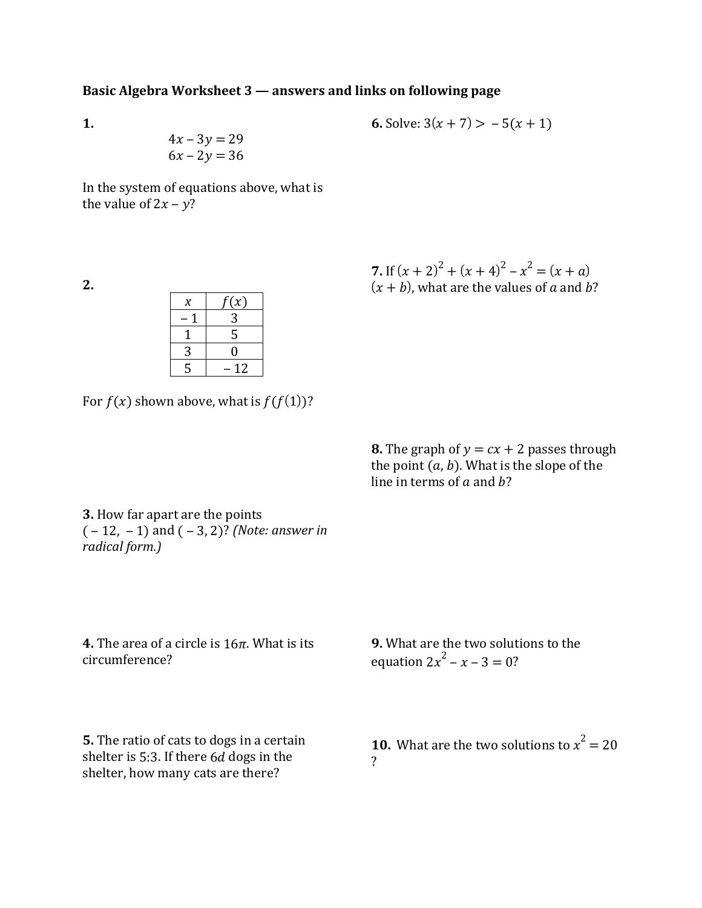## **Basic Algebra Worksheet 3 — answers and links on following page**

**1.** 

$$
4x - 3y = 29
$$

$$
6x - 2y = 36
$$

**6.** Solve: 
$$
3(x + 7) > -5(x + 1)
$$

In the system of equations above, what is the value of  $2x - y$ ?

**2.** 

| X | f(x) |  |
|---|------|--|
|   | 3    |  |
|   | 5    |  |
| 3 | 0    |  |
| 5 | 12   |  |

7. If 
$$
(x + 2)^2 + (x + 4)^2 - x^2 = (x + a)
$$
  
(x + b), what are the values of a and b?

For  $f(x)$  shown above, what is  $f(f(1))$ ?

**8.** The graph of  $y = cx + 2$  passes through the point  $(a, b)$ . What is the slope of the line in terms of  $a$  and  $b$ ?

**3.** How far apart are the points  $(-12, -1)$  and  $(-3, 2)$ ? *(Note: answer in*) *radical form.)*

**4.** The area of a circle is  $16\pi$ . What is its circumference?

**9.** What are the two solutions to the equation  $2x^2 - x - 3 = 0$ ?

**5.** The ratio of cats to dogs in a certain shelter is 5:3. If there  $6d$  dogs in the shelter, how many cats are there?

**10.** What are the two solutions to  $x^2 = 20$ ?